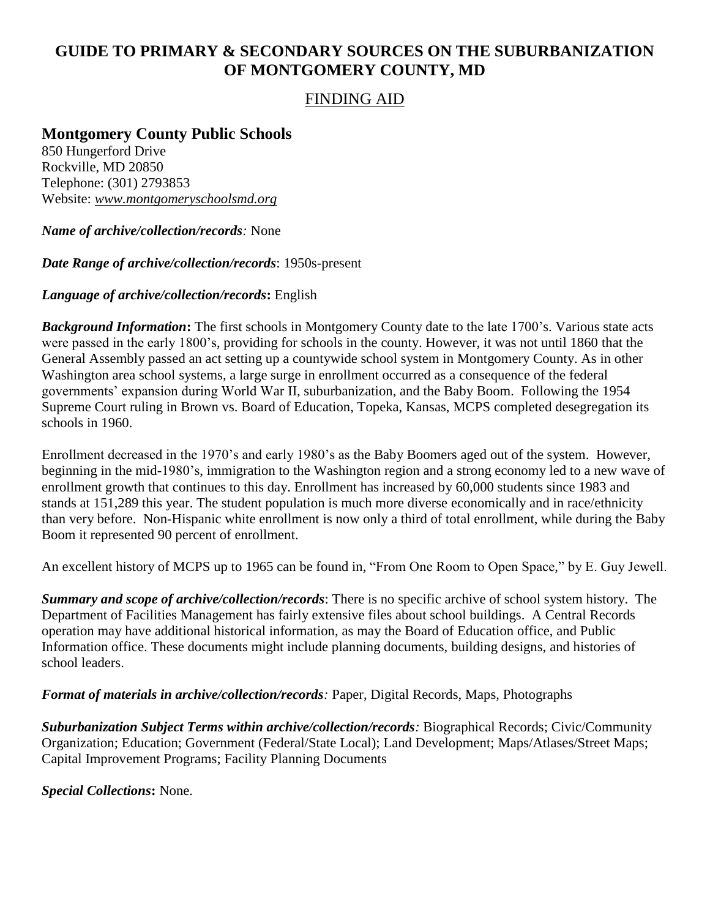## **GUIDE TO PRIMARY & SECONDARY SOURCES ON THE SUBURBANIZATION OF MONTGOMERY COUNTY, MD**

## FINDING AID

**Montgomery County Public Schools**

850 Hungerford Drive Rockville, MD 20850 Telephone: (301) 2793853 Website: *www.montgomeryschoolsmd.org*

*Name of archive/collection/records:* None

*Date Range of archive/collection/records*: 1950s-present

## *Language of archive/collection/records***:** English

*Background Information***:** The first schools in Montgomery County date to the late 1700's. Various state acts were passed in the early 1800's, providing for schools in the county. However, it was not until 1860 that the General Assembly passed an act setting up a countywide school system in Montgomery County. As in other Washington area school systems, a large surge in enrollment occurred as a consequence of the federal governments' expansion during World War II, suburbanization, and the Baby Boom. Following the 1954 Supreme Court ruling in Brown vs. Board of Education, Topeka, Kansas, MCPS completed desegregation its schools in 1960.

Enrollment decreased in the 1970's and early 1980's as the Baby Boomers aged out of the system. However, beginning in the mid-1980's, immigration to the Washington region and a strong economy led to a new wave of enrollment growth that continues to this day. Enrollment has increased by 60,000 students since 1983 and stands at 151,289 this year. The student population is much more diverse economically and in race/ethnicity than very before. Non-Hispanic white enrollment is now only a third of total enrollment, while during the Baby Boom it represented 90 percent of enrollment.

An excellent history of MCPS up to 1965 can be found in, "From One Room to Open Space," by E. Guy Jewell.

*Summary and scope of archive/collection/records*: There is no specific archive of school system history. The Department of Facilities Management has fairly extensive files about school buildings. A Central Records operation may have additional historical information, as may the Board of Education office, and Public Information office. These documents might include planning documents, building designs, and histories of school leaders.

*Format of materials in archive/collection/records:* Paper, Digital Records, Maps, Photographs

*Suburbanization Subject Terms within archive/collection/records:* Biographical Records; Civic/Community Organization; Education; Government (Federal/State Local); Land Development; Maps/Atlases/Street Maps; Capital Improvement Programs; Facility Planning Documents

*Special Collections***:** None.